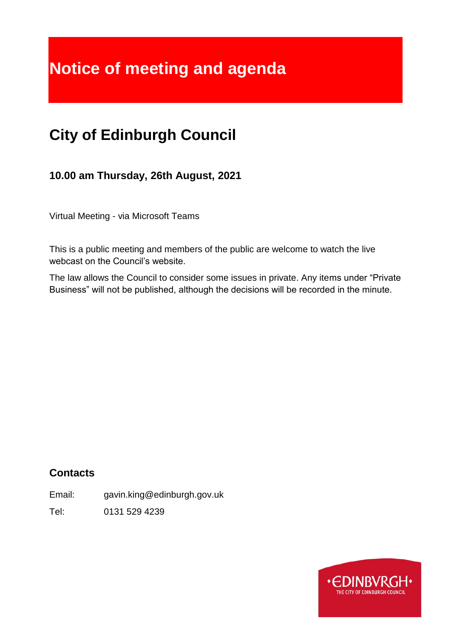# **Notice of meeting and agenda**

# **City of Edinburgh Council**

**10.00 am Thursday, 26th August, 2021**

Virtual Meeting - via Microsoft Teams

This is a public meeting and members of the public are welcome to watch the live webcast on the Council's website.

The law allows the Council to consider some issues in private. Any items under "Private Business" will not be published, although the decisions will be recorded in the minute.

# **Contacts**

Email: gavin.king@edinburgh.gov.uk

Tel: 0131 529 4239

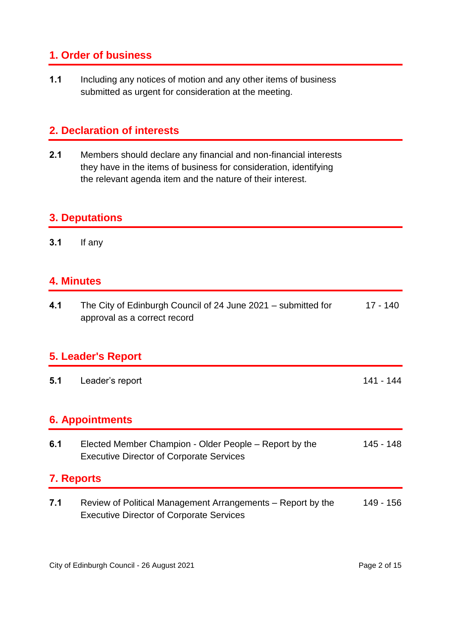## **1. Order of business**

**1.1** Including any notices of motion and any other items of business submitted as urgent for consideration at the meeting.

# **2. Declaration of interests**

**2.1** Members should declare any financial and non-financial interests they have in the items of business for consideration, identifying the relevant agenda item and the nature of their interest.

### **3. Deputations**

**3.1** If any

# **4. Minutes**

| 4.1 | The City of Edinburgh Council of 24 June 2021 – submitted for | 17 - 140 |
|-----|---------------------------------------------------------------|----------|
|     | approval as a correct record                                  |          |

#### **5. Leader's Report**

**5.1** Leader's report 141 - 144

## **6. Appointments**

| 6.1 | Elected Member Champion - Older People – Report by the | 145 - 148 |
|-----|--------------------------------------------------------|-----------|
|     | <b>Executive Director of Corporate Services</b>        |           |
|     |                                                        |           |

# **7. Reports**

**7.1** Review of Political Management Arrangements – Report by the Executive Director of Corporate Services 149 - 156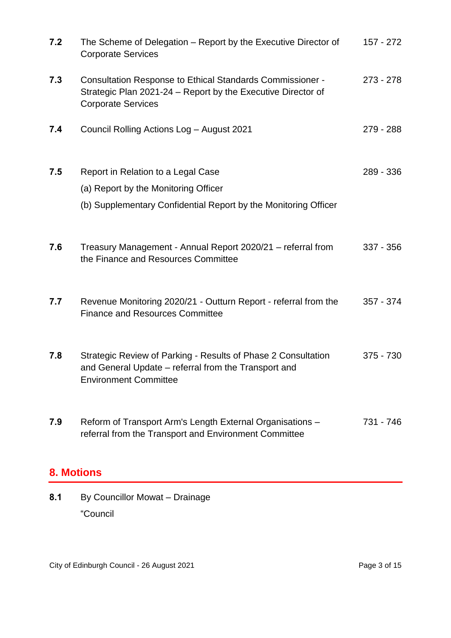| 7.2 | The Scheme of Delegation – Report by the Executive Director of<br><b>Corporate Services</b>                                                            | 157 - 272   |
|-----|--------------------------------------------------------------------------------------------------------------------------------------------------------|-------------|
| 7.3 | Consultation Response to Ethical Standards Commissioner -<br>Strategic Plan 2021-24 – Report by the Executive Director of<br><b>Corporate Services</b> | $273 - 278$ |
| 7.4 | Council Rolling Actions Log - August 2021                                                                                                              | 279 - 288   |
| 7.5 | Report in Relation to a Legal Case                                                                                                                     | 289 - 336   |
|     | (a) Report by the Monitoring Officer                                                                                                                   |             |
|     | (b) Supplementary Confidential Report by the Monitoring Officer                                                                                        |             |
| 7.6 | Treasury Management - Annual Report 2020/21 - referral from<br>the Finance and Resources Committee                                                     | 337 - 356   |
| 7.7 | Revenue Monitoring 2020/21 - Outturn Report - referral from the<br><b>Finance and Resources Committee</b>                                              | $357 - 374$ |
| 7.8 | Strategic Review of Parking - Results of Phase 2 Consultation<br>and General Update – referral from the Transport and<br><b>Environment Committee</b>  | $375 - 730$ |
| 7.9 | Reform of Transport Arm's Length External Organisations -<br>referral from the Transport and Environment Committee                                     | 731 - 746   |

# **8. Motions**

**8.1** By Councillor Mowat – Drainage "Council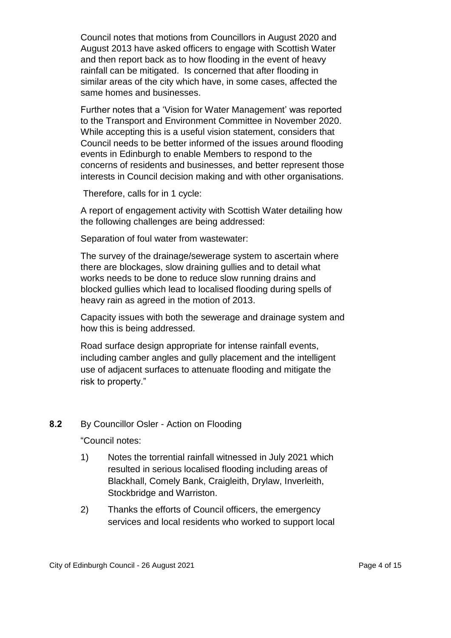Council notes that motions from Councillors in August 2020 and August 2013 have asked officers to engage with Scottish Water and then report back as to how flooding in the event of heavy rainfall can be mitigated. Is concerned that after flooding in similar areas of the city which have, in some cases, affected the same homes and businesses.

Further notes that a 'Vision for Water Management' was reported to the Transport and Environment Committee in November 2020. While accepting this is a useful vision statement, considers that Council needs to be better informed of the issues around flooding events in Edinburgh to enable Members to respond to the concerns of residents and businesses, and better represent those interests in Council decision making and with other organisations.

Therefore, calls for in 1 cycle:

A report of engagement activity with Scottish Water detailing how the following challenges are being addressed:

Separation of foul water from wastewater:

The survey of the drainage/sewerage system to ascertain where there are blockages, slow draining gullies and to detail what works needs to be done to reduce slow running drains and blocked gullies which lead to localised flooding during spells of heavy rain as agreed in the motion of 2013.

Capacity issues with both the sewerage and drainage system and how this is being addressed.

Road surface design appropriate for intense rainfall events, including camber angles and gully placement and the intelligent use of adjacent surfaces to attenuate flooding and mitigate the risk to property."

#### **8.2** By Councillor Osler - Action on Flooding

"Council notes:

- 1) Notes the torrential rainfall witnessed in July 2021 which resulted in serious localised flooding including areas of Blackhall, Comely Bank, Craigleith, Drylaw, Inverleith, Stockbridge and Warriston.
- 2) Thanks the efforts of Council officers, the emergency services and local residents who worked to support local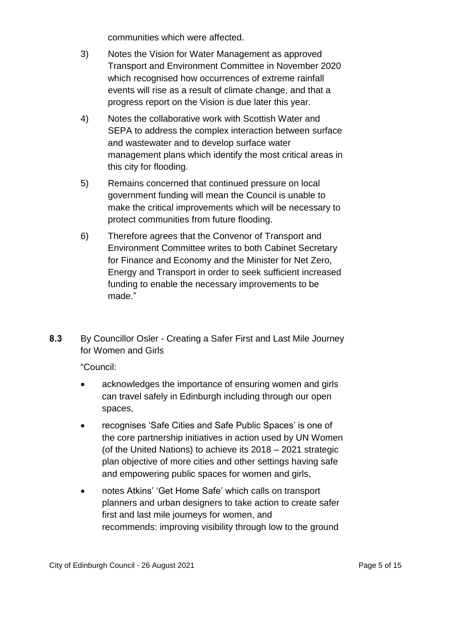communities which were affected.

- 3) Notes the Vision for Water Management as approved Transport and Environment Committee in November 2020 which recognised how occurrences of extreme rainfall events will rise as a result of climate change, and that a progress report on the Vision is due later this year.
- 4) Notes the collaborative work with Scottish Water and SEPA to address the complex interaction between surface and wastewater and to develop surface water management plans which identify the most critical areas in this city for flooding.
- 5) Remains concerned that continued pressure on local government funding will mean the Council is unable to make the critical improvements which will be necessary to protect communities from future flooding.
- 6) Therefore agrees that the Convenor of Transport and Environment Committee writes to both Cabinet Secretary for Finance and Economy and the Minister for Net Zero, Energy and Transport in order to seek sufficient increased funding to enable the necessary improvements to be made."
- **8.3** By Councillor Osler Creating a Safer First and Last Mile Journey for Women and Girls

"Council:

- acknowledges the importance of ensuring women and girls can travel safely in Edinburgh including through our open spaces,
- recognises 'Safe Cities and Safe Public Spaces' is one of the core partnership initiatives in action used by UN Women (of the United Nations) to achieve its 2018 – 2021 strategic plan objective of more cities and other settings having safe and empowering public spaces for women and girls,
- notes Atkins' 'Get Home Safe' which calls on transport planners and urban designers to take action to create safer first and last mile journeys for women, and recommends: improving visibility through low to the ground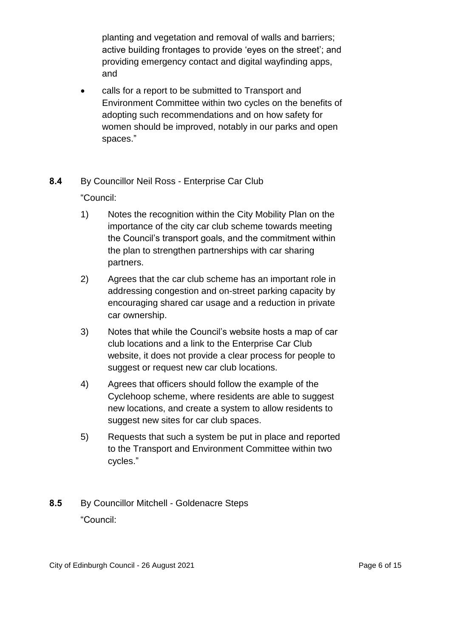planting and vegetation and removal of walls and barriers; active building frontages to provide 'eyes on the street'; and providing emergency contact and digital wayfinding apps, and

 calls for a report to be submitted to Transport and Environment Committee within two cycles on the benefits of adopting such recommendations and on how safety for women should be improved, notably in our parks and open spaces."

#### **8.4** By Councillor Neil Ross - Enterprise Car Club

"Council:

- 1) Notes the recognition within the City Mobility Plan on the importance of the city car club scheme towards meeting the Council's transport goals, and the commitment within the plan to strengthen partnerships with car sharing partners.
- 2) Agrees that the car club scheme has an important role in addressing congestion and on-street parking capacity by encouraging shared car usage and a reduction in private car ownership.
- 3) Notes that while the Council's website hosts a map of car club locations and a link to the Enterprise Car Club website, it does not provide a clear process for people to suggest or request new car club locations.
- 4) Agrees that officers should follow the example of the Cyclehoop scheme, where residents are able to suggest new locations, and create a system to allow residents to suggest new sites for car club spaces.
- 5) Requests that such a system be put in place and reported to the Transport and Environment Committee within two cycles."

# **8.5** By Councillor Mitchell - Goldenacre Steps "Council: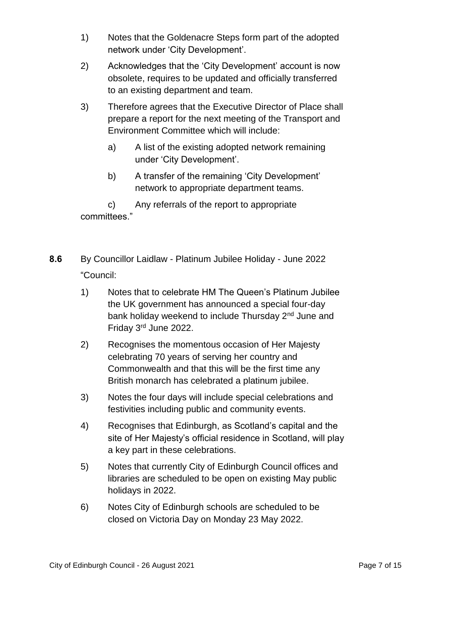- 1) Notes that the Goldenacre Steps form part of the adopted network under 'City Development'.
- 2) Acknowledges that the 'City Development' account is now obsolete, requires to be updated and officially transferred to an existing department and team.
- 3) Therefore agrees that the Executive Director of Place shall prepare a report for the next meeting of the Transport and Environment Committee which will include:
	- a) A list of the existing adopted network remaining under 'City Development'.
	- b) A transfer of the remaining 'City Development' network to appropriate department teams.

c) Any referrals of the report to appropriate committees."

- **8.6** By Councillor Laidlaw Platinum Jubilee Holiday June 2022 "Council:
	- 1) Notes that to celebrate HM The Queen's Platinum Jubilee the UK government has announced a special four-day bank holiday weekend to include Thursday 2<sup>nd</sup> June and Friday 3rd June 2022.
	- 2) Recognises the momentous occasion of Her Majesty celebrating 70 years of serving her country and Commonwealth and that this will be the first time any British monarch has celebrated a platinum jubilee.
	- 3) Notes the four days will include special celebrations and festivities including public and community events.
	- 4) Recognises that Edinburgh, as Scotland's capital and the site of Her Majesty's official residence in Scotland, will play a key part in these celebrations.
	- 5) Notes that currently City of Edinburgh Council offices and libraries are scheduled to be open on existing May public holidays in 2022.
	- 6) Notes City of Edinburgh schools are scheduled to be closed on Victoria Day on Monday 23 May 2022.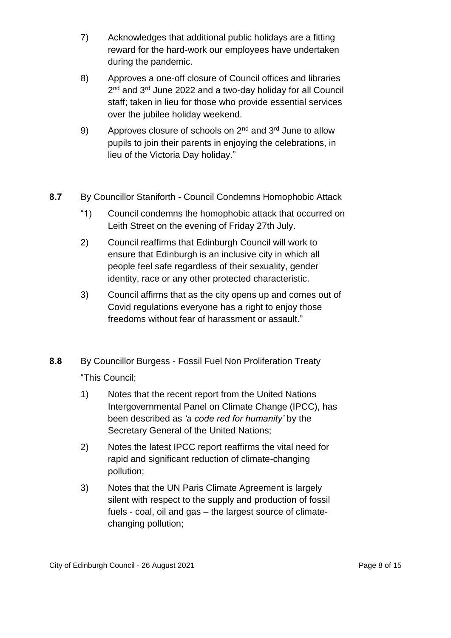- 7) Acknowledges that additional public holidays are a fitting reward for the hard-work our employees have undertaken during the pandemic.
- 8) Approves a one-off closure of Council offices and libraries 2<sup>nd</sup> and 3<sup>rd</sup> June 2022 and a two-day holiday for all Council staff; taken in lieu for those who provide essential services over the jubilee holiday weekend.
- 9) Approves closure of schools on  $2^{nd}$  and  $3^{rd}$  June to allow pupils to join their parents in enjoying the celebrations, in lieu of the Victoria Day holiday."
- **8.7** By Councillor Staniforth Council Condemns Homophobic Attack
	- "1) Council condemns the homophobic attack that occurred on Leith Street on the evening of Friday 27th July.
	- 2) Council reaffirms that Edinburgh Council will work to ensure that Edinburgh is an inclusive city in which all people feel safe regardless of their sexuality, gender identity, race or any other protected characteristic.
	- 3) Council affirms that as the city opens up and comes out of Covid regulations everyone has a right to enjoy those freedoms without fear of harassment or assault."
- **8.8** By Councillor Burgess Fossil Fuel Non Proliferation Treaty "This Council;
	- 1) Notes that the recent report from the United Nations Intergovernmental Panel on Climate Change (IPCC), has been described as *'a code red for humanity'* by the Secretary General of the United Nations;
	- 2) Notes the latest IPCC report reaffirms the vital need for rapid and significant reduction of climate-changing pollution;
	- 3) Notes that the UN Paris Climate Agreement is largely silent with respect to the supply and production of fossil fuels - coal, oil and gas – the largest source of climatechanging pollution;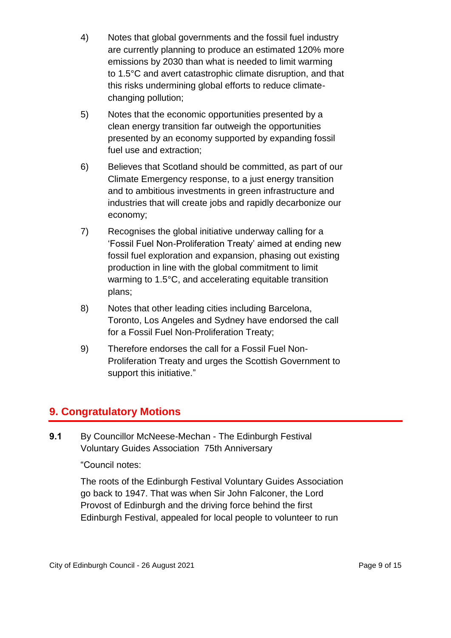- 4) Notes that global governments and the fossil fuel industry are currently planning to produce an estimated 120% more emissions by 2030 than what is needed to limit warming to 1.5°C and avert catastrophic climate disruption, and that this risks undermining global efforts to reduce climatechanging pollution;
- 5) Notes that the economic opportunities presented by a clean energy transition far outweigh the opportunities presented by an economy supported by expanding fossil fuel use and extraction;
- 6) Believes that Scotland should be committed, as part of our Climate Emergency response, to a just energy transition and to ambitious investments in green infrastructure and industries that will create jobs and rapidly decarbonize our economy;
- 7) Recognises the global initiative underway calling for a 'Fossil Fuel Non-Proliferation Treaty' aimed at ending new fossil fuel exploration and expansion, phasing out existing production in line with the global commitment to limit warming to 1.5°C, and accelerating equitable transition plans;
- 8) Notes that other leading cities including Barcelona, Toronto, Los Angeles and Sydney have endorsed the call for a Fossil Fuel Non-Proliferation Treaty;
- 9) Therefore endorses the call for a Fossil Fuel Non-Proliferation Treaty and urges the Scottish Government to support this initiative."

# **9. Congratulatory Motions**

**9.1** By Councillor McNeese-Mechan - The Edinburgh Festival Voluntary Guides Association 75th Anniversary

"Council notes:

The roots of the Edinburgh Festival Voluntary Guides Association go back to 1947. That was when Sir John Falconer, the Lord Provost of Edinburgh and the driving force behind the first Edinburgh Festival, appealed for local people to volunteer to run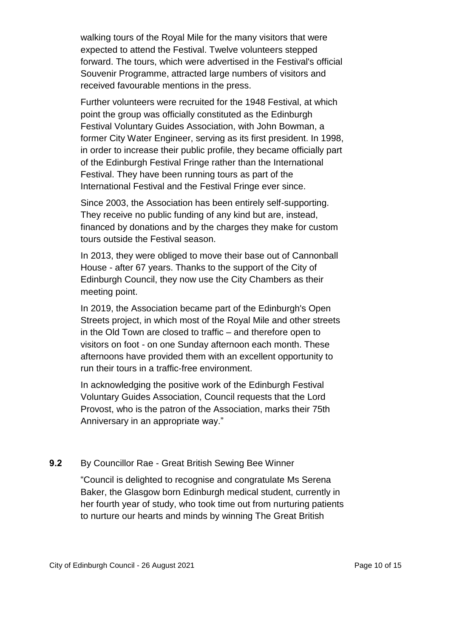walking tours of the Royal Mile for the many visitors that were expected to attend the Festival. Twelve volunteers stepped forward. The tours, which were advertised in the Festival's official Souvenir Programme, attracted large numbers of visitors and received favourable mentions in the press.

Further volunteers were recruited for the 1948 Festival, at which point the group was officially constituted as the Edinburgh Festival Voluntary Guides Association, with John Bowman, a former City Water Engineer, serving as its first president. In 1998, in order to increase their public profile, they became officially part of the Edinburgh Festival Fringe rather than the International Festival. They have been running tours as part of the International Festival and the Festival Fringe ever since.

Since 2003, the Association has been entirely self-supporting. They receive no public funding of any kind but are, instead, financed by donations and by the charges they make for custom tours outside the Festival season.

In 2013, they were obliged to move their base out of Cannonball House - after 67 years. Thanks to the support of the City of Edinburgh Council, they now use the City Chambers as their meeting point.

In 2019, the Association became part of the Edinburgh's Open Streets project, in which most of the Royal Mile and other streets in the Old Town are closed to traffic – and therefore open to visitors on foot - on one Sunday afternoon each month. These afternoons have provided them with an excellent opportunity to run their tours in a traffic-free environment.

In acknowledging the positive work of the Edinburgh Festival Voluntary Guides Association, Council requests that the Lord Provost, who is the patron of the Association, marks their 75th Anniversary in an appropriate way."

#### **9.2** By Councillor Rae - Great British Sewing Bee Winner

"Council is delighted to recognise and congratulate Ms Serena Baker, the Glasgow born Edinburgh medical student, currently in her fourth year of study, who took time out from nurturing patients to nurture our hearts and minds by winning The Great British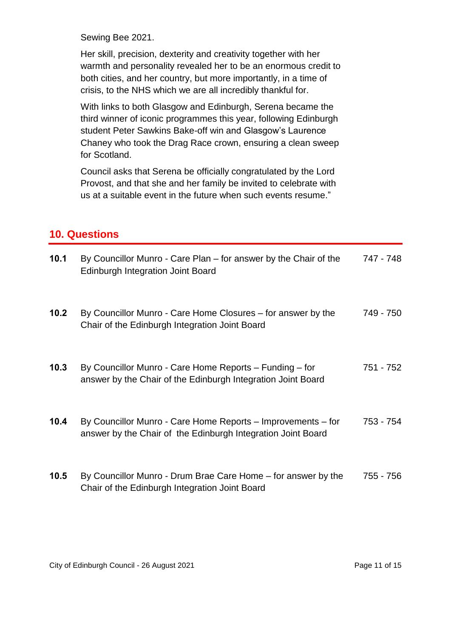Sewing Bee 2021.

Her skill, precision, dexterity and creativity together with her warmth and personality revealed her to be an enormous credit to both cities, and her country, but more importantly, in a time of crisis, to the NHS which we are all incredibly thankful for.

With links to both Glasgow and Edinburgh, Serena became the third winner of iconic programmes this year, following Edinburgh student Peter Sawkins Bake-off win and Glasgow's Laurence Chaney who took the Drag Race crown, ensuring a clean sweep for Scotland.

Council asks that Serena be officially congratulated by the Lord Provost, and that she and her family be invited to celebrate with us at a suitable event in the future when such events resume."

#### **10. Questions**

| 10.1 | By Councillor Munro - Care Plan – for answer by the Chair of the<br><b>Edinburgh Integration Joint Board</b>                 | 747 - 748 |
|------|------------------------------------------------------------------------------------------------------------------------------|-----------|
| 10.2 | By Councillor Munro - Care Home Closures – for answer by the<br>Chair of the Edinburgh Integration Joint Board               | 749 - 750 |
| 10.3 | By Councillor Munro - Care Home Reports - Funding - for<br>answer by the Chair of the Edinburgh Integration Joint Board      | 751 - 752 |
| 10.4 | By Councillor Munro - Care Home Reports - Improvements - for<br>answer by the Chair of the Edinburgh Integration Joint Board | 753 - 754 |
| 10.5 | By Councillor Munro - Drum Brae Care Home – for answer by the<br>Chair of the Edinburgh Integration Joint Board              | 755 - 756 |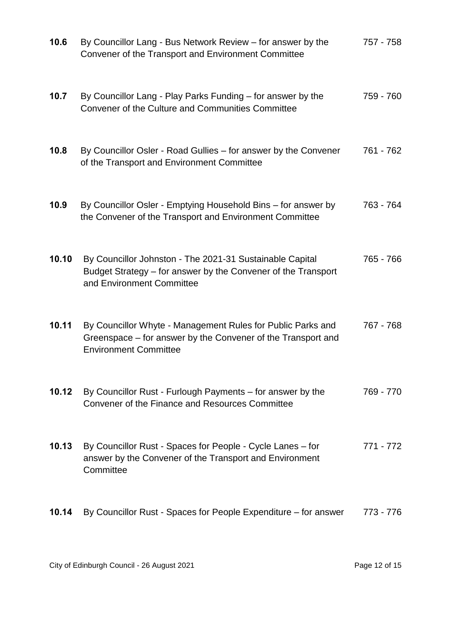| 10.6  | By Councillor Lang - Bus Network Review - for answer by the<br>Convener of the Transport and Environment Committee                                          | 757 - 758 |
|-------|-------------------------------------------------------------------------------------------------------------------------------------------------------------|-----------|
| 10.7  | By Councillor Lang - Play Parks Funding - for answer by the<br>Convener of the Culture and Communities Committee                                            | 759 - 760 |
| 10.8  | By Councillor Osler - Road Gullies – for answer by the Convener<br>of the Transport and Environment Committee                                               | 761 - 762 |
| 10.9  | By Councillor Osler - Emptying Household Bins - for answer by<br>the Convener of the Transport and Environment Committee                                    | 763 - 764 |
| 10.10 | By Councillor Johnston - The 2021-31 Sustainable Capital<br>Budget Strategy - for answer by the Convener of the Transport<br>and Environment Committee      | 765 - 766 |
| 10.11 | By Councillor Whyte - Management Rules for Public Parks and<br>Greenspace – for answer by the Convener of the Transport and<br><b>Environment Committee</b> | 767 - 768 |
| 10.12 | By Councillor Rust - Furlough Payments – for answer by the<br>Convener of the Finance and Resources Committee                                               | 769 - 770 |
| 10.13 | By Councillor Rust - Spaces for People - Cycle Lanes – for<br>answer by the Convener of the Transport and Environment<br>Committee                          | 771 - 772 |
| 10.14 | By Councillor Rust - Spaces for People Expenditure – for answer                                                                                             | 773 - 776 |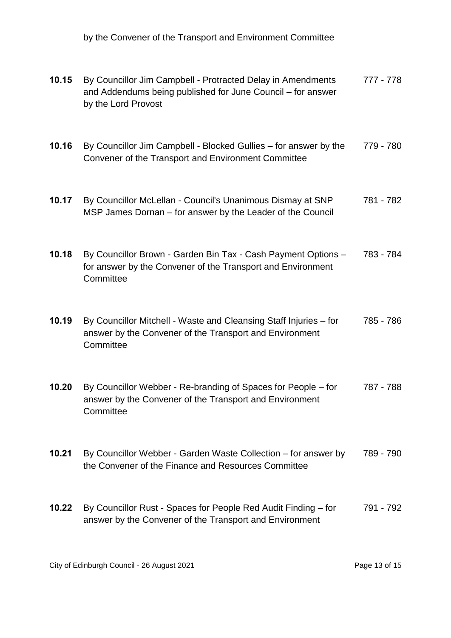by the Convener of the Transport and Environment Committee

| 10.15 | By Councillor Jim Campbell - Protracted Delay in Amendments<br>and Addendums being published for June Council - for answer<br>by the Lord Provost | 777 - 778 |
|-------|---------------------------------------------------------------------------------------------------------------------------------------------------|-----------|
| 10.16 | By Councillor Jim Campbell - Blocked Gullies – for answer by the<br>Convener of the Transport and Environment Committee                           | 779 - 780 |
| 10.17 | By Councillor McLellan - Council's Unanimous Dismay at SNP<br>MSP James Dornan – for answer by the Leader of the Council                          | 781 - 782 |
| 10.18 | By Councillor Brown - Garden Bin Tax - Cash Payment Options -<br>for answer by the Convener of the Transport and Environment<br>Committee         | 783 - 784 |
| 10.19 | By Councillor Mitchell - Waste and Cleansing Staff Injuries - for<br>answer by the Convener of the Transport and Environment<br>Committee         | 785 - 786 |
| 10.20 | By Councillor Webber - Re-branding of Spaces for People – for<br>answer by the Convener of the Transport and Environment<br>Committee             | 787 - 788 |
| 10.21 | By Councillor Webber - Garden Waste Collection – for answer by<br>the Convener of the Finance and Resources Committee                             | 789 - 790 |
| 10.22 | By Councillor Rust - Spaces for People Red Audit Finding - for<br>answer by the Convener of the Transport and Environment                         | 791 - 792 |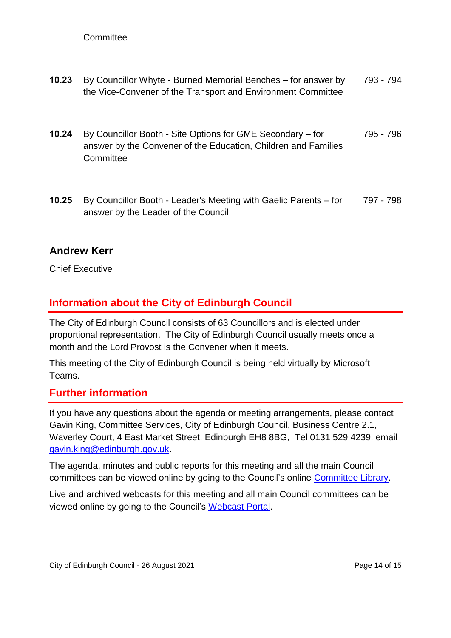#### **Committee**

- **10.23** By Councillor Whyte Burned Memorial Benches for answer by the Vice-Convener of the Transport and Environment Committee 793 - 794
- **10.24** By Councillor Booth Site Options for GME Secondary for answer by the Convener of the Education, Children and Families **Committee** 795 - 796
- **10.25** By Councillor Booth Leader's Meeting with Gaelic Parents for answer by the Leader of the Council 797 - 798

#### **Andrew Kerr**

Chief Executive

### **Information about the City of Edinburgh Council**

The City of Edinburgh Council consists of 63 Councillors and is elected under proportional representation. The City of Edinburgh Council usually meets once a month and the Lord Provost is the Convener when it meets.

This meeting of the City of Edinburgh Council is being held virtually by Microsoft Teams.

#### **Further information**

If you have any questions about the agenda or meeting arrangements, please contact Gavin King, Committee Services, City of Edinburgh Council, Business Centre 2.1, Waverley Court, 4 East Market Street, Edinburgh EH8 8BG, Tel 0131 529 4239, email [gavin.king@edinburgh.gov.uk.](mailto:gavin.king@edinburgh.gov.uk)

The agenda, minutes and public reports for this meeting and all the main Council committees can be viewed online by going to the Council's online [Committee Library.](https://democracy.edinburgh.gov.uk/ieDocHome.aspx?bcr=1)

Live and archived webcasts for this meeting and all main Council committees can be viewed online by going to the Council's [Webcast Portal.](https://edinburgh.public-i.tv/core/portal/home)